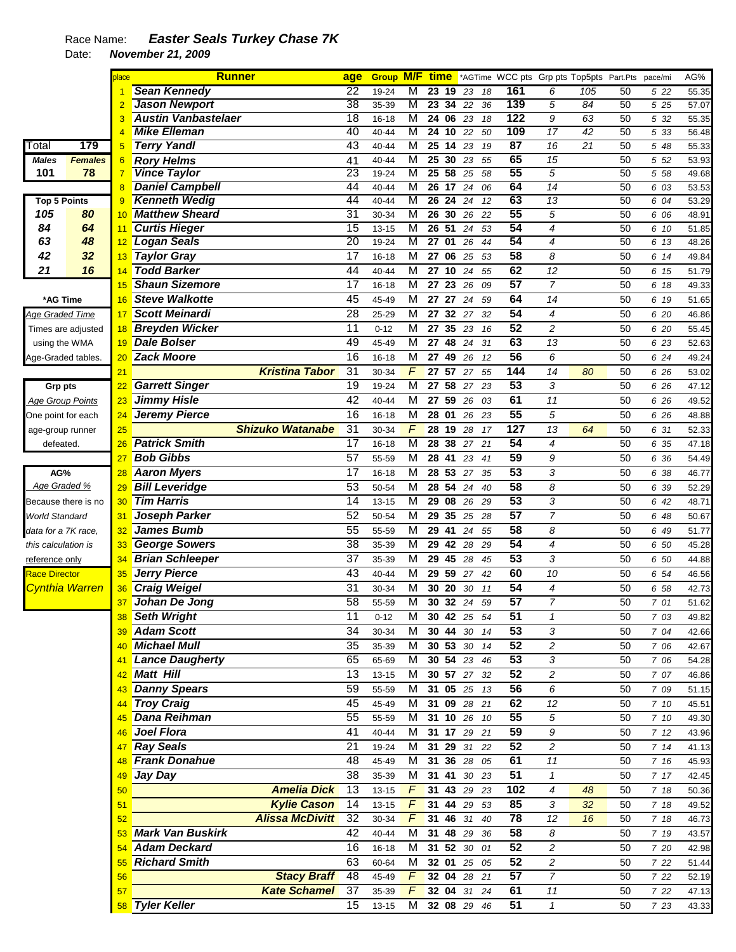|                         |                     | place | <b>Runner</b>              | age             | <b>Group M/F time</b> |                |                    |             |                       |                 | *AGTime WCC pts Grp pts Top5pts Part.Pts |     |    | pace/mi | AG%   |
|-------------------------|---------------------|-------|----------------------------|-----------------|-----------------------|----------------|--------------------|-------------|-----------------------|-----------------|------------------------------------------|-----|----|---------|-------|
|                         |                     |       | <b>Sean Kennedy</b>        | 22              | 19-24                 | M              | 23                 | 19<br>23    | 161<br>18             |                 | 6                                        | 105 | 50 | 5 22    | 55.35 |
|                         |                     |       | <b>Jason Newport</b>       | 38              | 35-39                 | M              | $23 \overline{34}$ | 22          | 36                    | 139             | 5                                        | 84  | 50 | 5 25    | 57.07 |
|                         |                     |       | <b>Austin Vanbastelaer</b> | 18              | $16 - 18$             | M              | 24 06              | 23          | 18                    | 122             | 9                                        | 63  | 50 | 5 32    | 55.35 |
|                         |                     |       | <b>Mike Elleman</b>        | 40              | 40-44                 | M              | 24                 | 10<br>22    | 50                    | 109             | 17                                       | 42  | 50 | 5 33    | 56.48 |
| Total                   | 179                 | 5     | <b>Terry Yandl</b>         | 43              | 40-44                 | M              | 25                 | 14<br>23    | $\overline{87}$<br>19 |                 | 16                                       | 21  | 50 | 5 48    | 55.33 |
| <b>Males</b>            | <b>Females</b>      | 6     | <b>Rory Helms</b>          | 41              | 40-44                 | M              | 25                 | 30<br>23    | 55                    | 65              | 15                                       |     | 50 | 5 52    | 53.93 |
| 101                     | 78                  | 7     | <b>Vince Taylor</b>        | 23              | 19-24                 | M              | 25 58              | 25          | 58                    | 55              | $\overline{5}$                           |     | 50 | 5 58    | 49.68 |
|                         |                     | 8     | <b>Daniel Campbell</b>     | 44              | 40-44                 | M              | 26 17              | 24          | 06                    | 64              | 14                                       |     | 50 | 6 03    | 53.53 |
| <b>Top 5 Points</b>     |                     | 9     | <b>Kenneth Wedig</b>       | 44              | 40-44                 | M              | 26                 | 24<br>24    | 12                    | 63              | 13                                       |     | 50 | 6 04    | 53.29 |
| 105                     | 80                  | 10    | <b>Matthew Sheard</b>      | 31              | 30-34                 | M              | 26                 | 30<br>26    | 22                    | 55              | 5                                        |     | 50 | 6 06    | 48.91 |
| 84                      | 64                  | 11    | <b>Curtis Hieger</b>       | $\overline{15}$ | $13 - 15$             | M              | 26                 | 51<br>24    | 53                    | 54              | 4                                        |     | 50 | 6 10    | 51.85 |
| 63                      | 48                  | 12    | Logan Seals                | 20              | 19-24                 | M              | 27                 | 01<br>26    | 44                    | 54              | 4                                        |     | 50 | 6 13    | 48.26 |
| 42                      | 32                  | 13    | <b>Taylor Gray</b>         | 17              | $16 - 18$             | M              | 27                 | 06<br>25    | 53                    | 58              | 8                                        |     | 50 | 6 14    | 49.84 |
| 21                      | 16                  | 14    | <b>Todd Barker</b>         | 44              | 40-44                 | M              | 27                 | 10<br>24    | 55                    | 62              | 12                                       |     | 50 |         | 51.79 |
|                         |                     |       | <b>Shaun Sizemore</b>      |                 |                       |                |                    |             |                       |                 |                                          |     |    | 6 15    |       |
|                         |                     | 15    |                            | 17              | $16 - 18$             | M              | 27                 | 23<br>26    | 09                    | 57              | $\overline{7}$                           |     | 50 | 6 18    | 49.33 |
| *AG Time                |                     | 16    | <b>Steve Walkotte</b>      | 45              | 45-49                 | M              | 27                 | 27<br>24    | 59                    | 64              | 14                                       |     | 50 | 6 19    | 51.65 |
| <u>Age Graded Time</u>  |                     | 17    | <b>Scott Meinardi</b>      | 28              | 25-29                 | M              | 27                 | 32<br>27    | 32                    | 54              | 4                                        |     | 50 | 6 20    | 46.86 |
|                         | Times are adjusted  | 18    | <b>Breyden Wicker</b>      | 11              | $0 - 12$              | M              | 27                 | 35<br>23    | 16                    | 52              | $\overline{c}$                           |     | 50 | 6 20    | 55.45 |
| using the WMA           |                     | 19    | <b>Dale Bolser</b>         | 49              | 45-49                 | M              | 27                 | 48<br>24    | 31                    | 63              | 13                                       |     | 50 | 6 23    | 52.63 |
| Age-Graded tables.      |                     | 20    | <b>Zack Moore</b>          | 16              | $16 - 18$             | M              | 27                 | 49<br>26    | 12                    | 56              | 6                                        |     | 50 | 6 24    | 49.24 |
|                         |                     | 21    | <b>Kristina Tabor</b>      | 31              | 30-34                 | F              | 27                 | 57<br>27    | 55                    | 144             | 14                                       | 80  | 50 | 6 26    | 53.02 |
| Grp pts                 |                     | 22    | <b>Garrett Singer</b>      | 19              | 19-24                 | M              | 27                 | 58<br>27    | 23                    | 53              | 3                                        |     | 50 | 6 26    | 47.12 |
| <b>Age Group Points</b> |                     | 23    | <b>Jimmy Hisle</b>         | 42              | 40-44                 | M              | 27                 | 59<br>26    | 61<br>03              |                 | 11                                       |     | 50 | 6 26    | 49.52 |
| One point for each      |                     | 24    | <b>Jeremy Pierce</b>       | 16              | $16 - 18$             | M              | 28 01              | 26          | 23                    | 55              | 5                                        |     | 50 | 6 26    | 48.88 |
|                         |                     |       | <b>Shizuko Watanabe</b>    | 31              |                       | F              |                    | 19          | 127                   |                 |                                          | 64  |    |         |       |
| age-group runner        |                     | 25    |                            |                 | 30-34                 |                | 28                 | 28          | 17                    |                 | 13                                       |     | 50 | 6 31    | 52.33 |
| defeated.               |                     | 26    | <b>Patrick Smith</b>       | 17              | $16 - 18$             | M              | 28 38              | 27          | 21                    | 54              | 4                                        |     | 50 | 6 35    | 47.18 |
|                         |                     | 27    | <b>Bob Gibbs</b>           | $\overline{57}$ | 55-59                 | M              | 28 41              | 23          | 41                    | 59              | 9                                        |     | 50 | 6 36    | 54.49 |
| AG%                     |                     | 28    | <b>Aaron Myers</b>         | 17              | $16 - 18$             | M              | 28 53              | 27          | 35                    | 53              | 3                                        |     | 50 | 6 38    | 46.77 |
| Age Graded %            |                     | 29    | <b>Bill Leveridge</b>      | 53              | 50-54                 | M              | $28 \; 54$         | 24          | 40                    | $\overline{58}$ | 8                                        |     | 50 | 6 39    | 52.29 |
|                         | Because there is no | 30    | <b>Tim Harris</b>          | 14              | $13 - 15$             | M              | 29                 | 08<br>26    | 29                    | 53              | 3                                        |     | 50 | 6 42    | 48.71 |
| World Standard          |                     | 31    | Joseph Parker              | 52              | 50-54                 | M              | 29                 | 35<br>25    | 28                    | 57              | $\overline{7}$                           |     | 50 | 6 48    | 50.67 |
| data for a 7K race,     |                     | 32    | <b>James Bumb</b>          | 55              | 55-59                 | M              | 29                 | 41<br>24    | 55                    | 58              | 8                                        |     | 50 | 6 49    | 51.77 |
| this calculation is     |                     | 33    | <b>George Sowers</b>       | 38              | 35-39                 | M              | 29                 | 42<br>28    | 29                    | 54              | 4                                        |     | 50 | 6 50    | 45.28 |
| <u>reference only</u>   |                     | 34    | <b>Brian Schleeper</b>     | 37              | 35-39                 | M              | 29                 | 45<br>28    | 45                    | 53              | 3                                        |     | 50 | 6 50    | 44.88 |
| <b>Race Director</b>    |                     | 35    | <b>Jerry Pierce</b>        | 43              | 40-44                 | M              | 29                 | 59<br>27    | 42                    | 60              | 10                                       |     | 50 | 6 54    | 46.56 |
|                         | Cynthia Warren      | 36    | <b>Craig Weigel</b>        | 31              | 30-34                 | M              | 30                 | 20<br>30    | 11                    | 54              | 4                                        |     | 50 | 6 58    | 42.73 |
|                         |                     |       |                            |                 |                       |                |                    |             |                       | 57              | $\overline{7}$                           |     |    |         |       |
|                         |                     | 37    | Johan De Jong              | 58              | 55-59                 | M              | 30 32              | 24          | 59                    |                 |                                          |     | 50 | 7 01    | 51.62 |
|                         |                     | 38    | Seth Wright                | 11              | $0 - 12$              | M              |                    | 30 42 25 54 | 51                    |                 | 1                                        |     | 50 | 7 03    | 49.82 |
|                         |                     | 39    | <b>Adam Scott</b>          | 34              | 30-34                 | М              |                    | 30 44 30 14 |                       | 53              | 3                                        |     | 50 | 7 04    | 42.66 |
|                         |                     | 40    | Michael Mull               | 35              | 35-39                 | M              |                    | 30 53 30 14 |                       | 52              | 2                                        |     | 50 | 7 06    | 42.67 |
|                         |                     | 41    | Lance Daugherty            | 65              | 65-69                 | М              |                    | 30 54 23 46 |                       | 53              | 3                                        |     | 50 | 7 06    | 54.28 |
|                         |                     | 42    | Matt Hill                  | 13              | $13 - 15$             | М              |                    | 30 57 27 32 |                       | 52              | 2                                        |     | 50 | 7 07    | 46.86 |
|                         |                     | 43    | <b>Danny Spears</b>        | 59              | 55-59                 | М              |                    | 31 05 25 13 |                       | 56              | 6                                        |     | 50 | 7 09    | 51.15 |
|                         |                     | 44    | <b>Troy Craig</b>          | 45              | 45-49                 | М              |                    | 31 09 28 21 |                       | 62              | 12                                       |     | 50 | 7 10    | 45.51 |
|                         |                     | 45    | Dana Reihman               | 55              | 55-59                 | М              |                    | 31 10 26    | 10                    | 55              | 5                                        |     | 50 | 7 10    | 49.30 |
|                         |                     | 46    | Joel Flora                 | 41              | 40-44                 | М              | 31 17              | 29 21       |                       | 59              | 9                                        |     | 50 | 712     | 43.96 |
|                         |                     | 47    | <b>Ray Seals</b>           | 21              | 19-24                 | М              |                    | 31 29 31    | 22                    | 52              | 2                                        |     | 50 | 714     |       |
|                         |                     |       |                            |                 |                       |                |                    |             |                       |                 |                                          |     |    |         | 41.13 |
|                         |                     |       | 48 Frank Donahue           | 48              | 45-49                 | М              |                    | 31 36 28    | 61<br>05              |                 | 11                                       |     | 50 | 7 16    | 45.93 |
|                         |                     | 49    | Jay Day                    | 38              | 35-39                 | M              | 31 41              | 30 23       | $\overline{51}$       |                 | $\mathbf{1}$                             |     | 50 | 7 17    | 42.45 |
|                         |                     | 50    | <b>Amelia Dick</b>         | 13              | $13 - 15$             | F              |                    | 31 43 29    | 23                    | 102             | 4                                        | 48  | 50 | 7 18    | 50.36 |
|                         |                     | 51    | <b>Kylie Cason</b>         | 14              | $13 - 15$             | $\overline{F}$ |                    | 31 44 29    | 53                    | 85              | 3                                        | 32  | 50 | 7 18    | 49.52 |
|                         |                     | 52    | <b>Alissa McDivitt</b>     | 32              | 30-34                 | $\overline{F}$ |                    | 31 46 31    | 40                    | 78              | 12                                       | 16  | 50 | 7 18    | 46.73 |
|                         |                     |       | <b>Mark Van Buskirk</b>    | 42              | 40-44                 | М              |                    | 31 48 29    | 36                    | 58              | 8                                        |     | 50 | 7 19    | 43.57 |
|                         |                     |       | <b>Adam Deckard</b>        | 16              | $16 - 18$             | M              |                    | 31 52 30    | 01                    | 52              | 2                                        |     | 50 | 7 20    | 42.98 |
|                         |                     | 55    | <b>Richard Smith</b>       | 63              | 60-64                 | М              |                    | 32 01 25 05 |                       | 52              | 2                                        |     | 50 | 7 22    | 51.44 |
|                         |                     | 56    | <b>Stacy Braff</b>         | 48              | 45-49                 | $\overline{F}$ |                    | 32 04 28 21 |                       | 57              | 7                                        |     | 50 | 7 22    | 52.19 |
|                         |                     | 57    | <b>Kate Schamel</b>        | 37              | 35-39                 | F              |                    | 32 04 31    | 61<br>24              |                 | 11                                       |     | 50 | 7 22    | 47.13 |
|                         |                     |       | 58 Tyler Keller            | 15              | 13-15                 | M              |                    | 32 08 29 46 |                       | 51              | $\mathbf{1}$                             |     | 50 | 7 23    | 43.33 |
|                         |                     |       |                            |                 |                       |                |                    |             |                       |                 |                                          |     |    |         |       |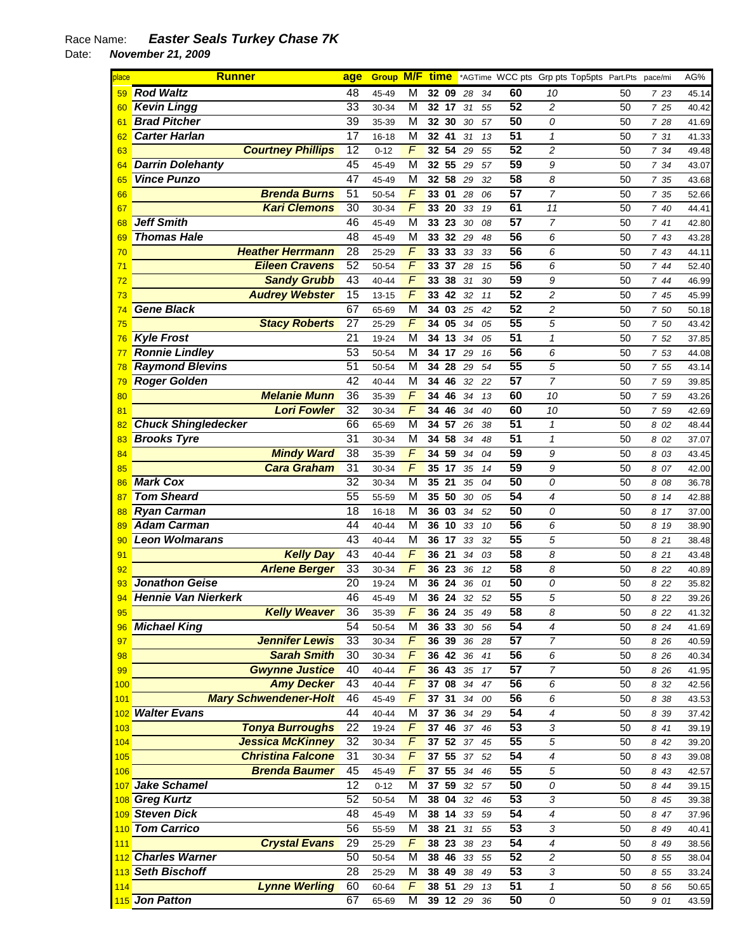| place | <b>Runner</b>                | age             |           |                | <b>Group M/F time</b> |    |    |                 | *AGTime WCC pts Grp pts Top5pts Part.Pts |    | pace/mi | AG%   |
|-------|------------------------------|-----------------|-----------|----------------|-----------------------|----|----|-----------------|------------------------------------------|----|---------|-------|
| 59    | <b>Rod Waltz</b>             | 48              | 45-49     | M              | 32 09                 | 28 | 34 | 60              | 10                                       | 50 | 7 23    | 45.14 |
| 60    | <b>Kevin Lingg</b>           | $\overline{33}$ | 30-34     | М              | 32<br>17              | 31 | 55 | $\overline{52}$ | $\overline{\mathbf{c}}$                  | 50 | 7 25    | 40.42 |
| 61    | <b>Brad Pitcher</b>          | $\overline{39}$ | 35-39     | М              | 30<br>32              | 30 | 57 | 50              | 0                                        | 50 | 7 28    | 41.69 |
| 62    | <b>Carter Harlan</b>         | 17              | $16 - 18$ | М              | 41<br>32              | 31 | 13 | 51              | $\mathbf{1}$                             | 50 | 7 31    | 41.33 |
| 63    | <b>Courtney Phillips</b>     | $\overline{12}$ | $0 - 12$  | $\overline{F}$ | 54<br>32              | 29 | 55 | 52              | 2                                        | 50 | 7 34    | 49.48 |
| 64    | <b>Darrin Dolehanty</b>      | 45              | 45-49     | М              | 55<br>32              | 29 | 57 | 59              | 9                                        | 50 | 7 34    | 43.07 |
| 65    | <b>Vince Punzo</b>           | 47              | 45-49     | М              | 58<br>32              | 29 | 32 | 58              | 8                                        | 50 | 7 35    | 43.68 |
| 66    | <b>Brenda Burns</b>          | $\overline{51}$ | 50-54     | $\overline{F}$ | 01<br>33              | 28 | 06 | $\overline{57}$ | 7                                        | 50 | 7 35    | 52.66 |
| 67    | <b>Kari Clemons</b>          | 30              | 30-34     | F              | 20<br>33              | 33 | 19 | 61              | 11                                       | 50 | 7 40    | 44.41 |
| 68    | <b>Jeff Smith</b>            | 46              | 45-49     | М              | 23<br>33              | 30 | 08 | $\overline{57}$ | 7                                        | 50 | 741     | 42.80 |
| 69    | <b>Thomas Hale</b>           | 48              | 45-49     | М              | 32<br>33              | 29 | 48 | $\overline{56}$ | 6                                        | 50 | 7 43    | 43.28 |
| 70    | <b>Heather Herrmann</b>      | $\overline{28}$ | $25 - 29$ | $\overline{F}$ | 33<br>33              | 33 | 33 | 56              | 6                                        | 50 | 7 43    | 44.11 |
| 71    | <b>Eileen Cravens</b>        | $\overline{52}$ | 50-54     | F              | 37<br>33              | 28 | 15 | 56              | 6                                        | 50 | 7 44    | 52.40 |
| 72    | <b>Sandy Grubb</b>           | $\overline{43}$ | 40-44     | F              | 38<br>33              | 31 | 30 | 59              | 9                                        | 50 | 744     | 46.99 |
| 73    | <b>Audrey Webster</b>        | $\overline{15}$ | $13 - 15$ | F              | 42<br>33              | 32 | 11 | 52              | 2                                        | 50 | 7 45    | 45.99 |
| 74    | <b>Gene Black</b>            | 67              | 65-69     | М              | 34<br>03              | 25 | 42 | $\overline{52}$ | 2                                        | 50 | 7 50    | 50.18 |
| 75    | <b>Stacy Roberts</b>         | 27              | 25-29     | F              | 05<br>34              | 34 | 05 | $\overline{55}$ | 5                                        | 50 | 7 50    | 43.42 |
| 76    | <b>Kyle Frost</b>            | 21              | 19-24     | М              | 13<br>34              | 34 | 05 | 51              | $\mathbf 1$                              | 50 | 7 52    | 37.85 |
| 77    | <b>Ronnie Lindley</b>        | $\overline{53}$ | 50-54     | М              | 17<br>34              | 29 | 16 | 56              | 6                                        | 50 | 7 53    | 44.08 |
| 78    | <b>Raymond Blevins</b>       | $\overline{51}$ | 50-54     | М              | 28<br>34              | 29 | 54 | $\overline{55}$ | 5                                        | 50 | 7 55    | 43.14 |
| 79    | <b>Roger Golden</b>          | 42              | 40-44     | M              | 34<br>46              | 32 | 22 | $\overline{57}$ | 7                                        | 50 | 7 59    | 39.85 |
| 80    | <b>Melanie Munn</b>          | 36              | 35-39     | $\overline{F}$ | 46<br>34              | 34 | 13 | 60              | 10                                       | 50 | 7 59    | 43.26 |
| 81    | <b>Lori Fowler</b>           | $\overline{32}$ | 30-34     | F              | 34<br>46              | 34 | 40 | 60              | 10                                       | 50 | 7 59    | 42.69 |
|       | <b>Chuck Shingledecker</b>   | 66              | 65-69     | М              | 57<br>34              | 26 | 38 | $\overline{51}$ | 1                                        | 50 | 8 02    | 48.44 |
| 83    | <b>Brooks Tyre</b>           | 31              | 30-34     | М              | 58<br>34              | 34 | 48 | $\overline{51}$ | $\mathbf{1}$                             | 50 | 8 02    | 37.07 |
| 84    | <b>Mindy Ward</b>            | 38              | 35-39     | $\overline{F}$ | 59<br>34              | 34 | 04 | 59              | 9                                        | 50 | 8 03    | 43.45 |
| 85    | <b>Cara Graham</b>           | 31              | 30-34     | F              | 17<br>35              | 35 | 14 | 59              | 9                                        | 50 | 8 07    | 42.00 |
| 86    | <b>Mark Cox</b>              | 32              | 30-34     | М              | 21<br>35              | 35 | 04 | $\overline{50}$ | 0                                        | 50 | 8 08    | 36.78 |
| 87    | <b>Tom Sheard</b>            | 55              | 55-59     | M              | 50<br>35              | 30 | 05 | 54              | 4                                        | 50 | 8 14    | 42.88 |
| 88    | <b>Ryan Carman</b>           | 18              | $16 - 18$ | М              | 03<br>36              | 34 | 52 | 50              | 0                                        | 50 | 8 17    | 37.00 |
| 89    | <b>Adam Carman</b>           | 44              | 40-44     | M              | 10<br>36              | 33 | 10 | 56              | 6                                        | 50 | 8 19    | 38.90 |
| 90    | <b>Leon Wolmarans</b>        | $\overline{43}$ | 40-44     | М              | 17<br>36              | 33 | 32 | $\overline{55}$ | 5                                        | 50 | 8 21    | 38.48 |
| 91    | <b>Kelly Day</b>             | $\overline{43}$ | 40-44     | F              | 21<br>36              | 34 | 03 | 58              | 8                                        | 50 | 8 21    | 43.48 |
| 92    | <b>Arlene Berger</b>         | 33              | 30-34     | $\overline{F}$ | 23<br>36              | 36 | 12 | 58              | 8                                        | 50 | 8 2 2   | 40.89 |
| 93    | <b>Jonathon Geise</b>        | 20              | 19-24     | М              | 24<br>36              | 36 | 01 | $\overline{50}$ | 0                                        | 50 | 8 2 2   | 35.82 |
| 94    | Hennie Van Nierkerk          | 46              | 45-49     | М              | 24<br>36              | 32 | 52 | $\overline{55}$ | 5                                        | 50 | 8 2 2   | 39.26 |
| 95    | <b>Kelly Weaver</b>          | 36              | 35-39     | F              | 36 24                 | 35 | 49 | 58              | 8                                        | 50 | 8 22    | 41.32 |
| 96    | Michael King                 | 54              | 50-54     | M              | 33<br>36              | 30 | 56 | $\overline{54}$ | 4                                        | 50 | 8 24    | 41.69 |
| 97    | <b>Jennifer Lewis</b>        | $\overline{33}$ | 30-34     | F              | 39<br>36              | 36 | 28 | 57              | 7                                        | 50 | 8 26    | 40.59 |
| 98    | <b>Sarah Smith</b>           | 30              | 30-34     | $\overline{F}$ | 36 42                 | 36 | 41 | $\overline{56}$ | 6                                        | 50 | 8 26    | 40.34 |
| 99    | <b>Gwynne Justice</b>        | 40              | $40 - 44$ | F              | $\overline{43}$<br>36 | 35 | 17 | 57              | 7                                        | 50 | 8 26    | 41.95 |
| 100   | <b>Amy Decker</b>            | 43              | 40-44     | $\overline{F}$ | 08<br>37              | 34 | 47 | 56              | 6                                        | 50 | 8 3 2   | 42.56 |
| 101   | <b>Mary Schwendener-Holt</b> | 46              | 45-49     | $\overline{F}$ | $\overline{31}$<br>37 | 34 | 00 | $\overline{56}$ | 6                                        | 50 | 8 38    | 43.53 |
|       | 102 Walter Evans             | 44              | $40 - 44$ | М              | 36<br>37              | 34 | 29 | $\overline{54}$ | 4                                        | 50 | 8 3 9   | 37.42 |
| 103   | <b>Tonya Burroughs</b>       | 22              | 19-24     | $\overline{F}$ | 46<br>37              | 37 | 46 | $\overline{53}$ | 3                                        | 50 | 8 41    | 39.19 |
| 104   | <b>Jessica McKinney</b>      | 32              | 30-34     | F              | 52<br>37              | 37 | 45 | $\overline{55}$ | 5                                        | 50 | 8 42    | 39.20 |
| 105   | <b>Christina Falcone</b>     | 31              | 30-34     | F              | $\overline{55}$<br>37 | 37 | 52 | $\overline{54}$ | 4                                        | 50 | 8 43    | 39.08 |
| 106   | <b>Brenda Baumer</b>         | 45              | 45-49     | F              | 55<br>37              | 34 | 46 | 55              | 5                                        | 50 | 8 43    | 42.57 |
| 107   | Jake Schamel                 | 12              | $0 - 12$  | М              | 59<br>37              | 32 | 57 | 50              | 0                                        | 50 | 8 4 4   | 39.15 |
|       | 108 Greg Kurtz               | 52              | 50-54     | M              | 04<br>38              | 32 | 46 | $\overline{53}$ | 3                                        | 50 | 8 45    | 39.38 |
|       | 109 Steven Dick              | 48              | 45-49     | М              | 38<br>14              | 33 | 59 | $\overline{54}$ | 4                                        | 50 | 8 47    | 37.96 |
|       | 110 Tom Carrico              | $\overline{56}$ | 55-59     | M              | 21<br>38              | 31 | 55 | $\overline{53}$ | 3                                        | 50 | 8 49    | 40.41 |
| 111   | <b>Crystal Evans</b>         | 29              | 25-29     | F              | 38<br>23              | 38 | 23 | $\overline{54}$ | 4                                        | 50 | 8 49    | 38.56 |
|       | 112 Charles Warner           | 50              | 50-54     | М              | 38<br>46              | 33 | 55 | 52              | 2                                        | 50 | 8 5 5   | 38.04 |
|       | 113 Seth Bischoff            | 28              | 25-29     | M              | 49<br>38              | 38 | 49 | $\overline{53}$ | 3                                        | 50 | 8 5 5   | 33.24 |
| 114   | <b>Lynne Werling</b>         | 60              | 60-64     | $\overline{F}$ | 38 51                 | 29 | 13 | $\overline{51}$ | $\pmb{\mathcal{1}}$                      | 50 | 8 5 6   | 50.65 |
|       | 115 Jon Patton               | 67              | 65-69     | Μ              | 39 12 29              |    | 36 | 50              | 0                                        | 50 | 9 01    | 43.59 |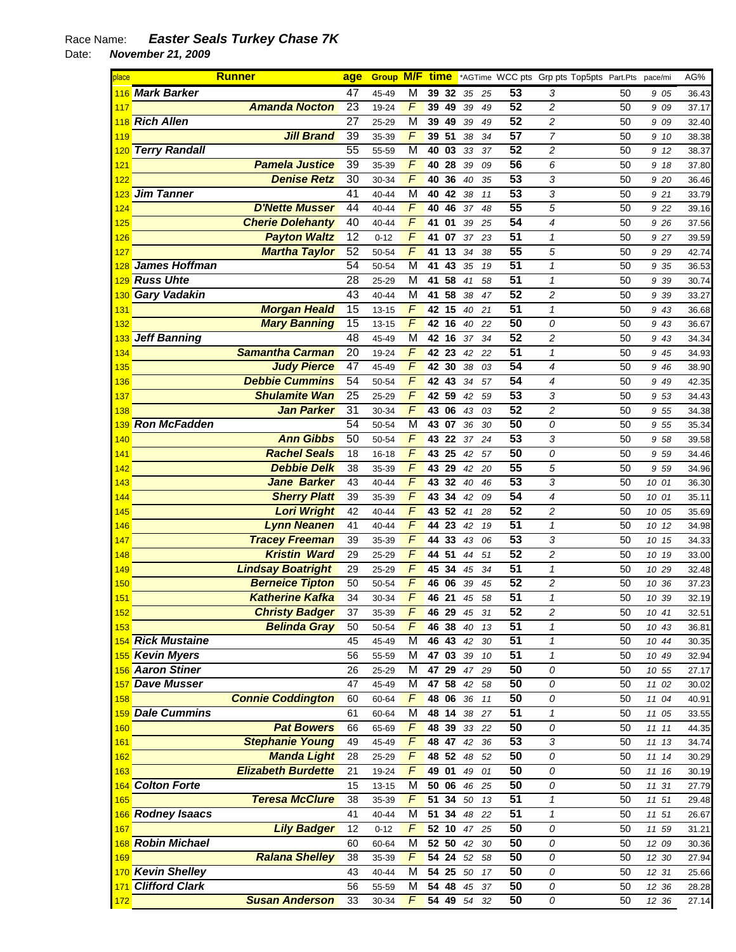| place      |                       | <b>Runner</b>             | age             | <b>Group M/F</b> |                                  | <u>time</u>    |                 |          |          |                       |                              | *AGTime WCC pts Grp pts Top5pts Part.Pts |          | pace/mi        | AG%            |
|------------|-----------------------|---------------------------|-----------------|------------------|----------------------------------|----------------|-----------------|----------|----------|-----------------------|------------------------------|------------------------------------------|----------|----------------|----------------|
|            | 116 Mark Barker       |                           | 47              | 45-49            | M                                | 39 32          |                 | 35       | 25       | $\overline{53}$       | 3                            |                                          | 50       | 9 05           | 36.43          |
| 117        |                       | <b>Amanda Nocton</b>      | $\overline{23}$ | 19-24            | F                                | 39             | 49              | 39       | 49       | 52                    | $\overline{c}$               |                                          | 50       | 9 09           | 37.17          |
| 118        | <b>Rich Allen</b>     |                           | 27              | 25-29            | $\overline{M}$                   | 39             | 49              | 39       | 49       | 52                    | $\overline{\mathbf{c}}$      |                                          | 50       | 9 09           | 32.40          |
| 119        |                       | <b>Jill Brand</b>         | $\overline{39}$ | 35-39            | F                                | 39             | 51              | 38       | 34       | 57                    | $\overline{7}$               |                                          | 50       | 9 10           | 38.38          |
| 120        | <b>Terry Randall</b>  |                           | $\overline{55}$ | 55-59            | $\overline{\mathsf{M}}$          | 40             | 03              | 33       | 37       | $\overline{52}$       | $\overline{c}$               |                                          | 50       | 9 12           | 38.37          |
| 121        |                       | <b>Pamela Justice</b>     | 39              | 35-39            | $\overline{F}$                   | 40             | 28              | 39       | 09       | 56                    | 6                            |                                          | 50       | 9 18           | 37.80          |
| 122        |                       | <b>Denise Retz</b>        | $\overline{30}$ | 30-34            | F                                | 40             | 36              | 40       | 35       | 53                    | 3                            |                                          | 50       | 9 20           | 36.46          |
| 123        | <b>Jim Tanner</b>     |                           | 41              | $40 - 44$        | $\overline{\mathsf{M}}$          | 40             | 42              | 38       | 11       | 53                    | 3                            |                                          | 50       | 9 21           | 33.79          |
| 124        |                       | <b>D'Nette Musser</b>     | 44              | $40 - 44$        | F                                | 40             | 46              | 37       | 48       | 55                    | 5                            |                                          | 50       | 9 22           | 39.16          |
| 125        |                       | <b>Cherie Dolehanty</b>   | 40              | $40 - 44$        | F                                | 41             | 01              | 39       | 25       | 54                    | 4                            |                                          | 50       | 9 26           | 37.56          |
| 126        |                       | <b>Payton Waltz</b>       | $\overline{12}$ | $0 - 12$         | F                                | 41             | 07              | 37       | 23       | 51                    | 1                            |                                          | 50       | 9 27           | 39.59          |
| 127        |                       | <b>Martha Taylor</b>      | $\overline{52}$ | 50-54            | F                                | 41             | 13              | 34       | 38       | $\overline{55}$       | 5                            |                                          | 50       | 9 2 9          | 42.74          |
| 128        | <b>James Hoffman</b>  |                           | 54              | 50-54            | $\overline{\mathsf{M}}$          | 41             | 43              | 35       | 19       | 51                    | $\mathbf{1}$                 |                                          | 50       | 9 35           | 36.53          |
| 129        | <b>Russ Uhte</b>      |                           | $\overline{28}$ | 25-29            | M                                | 41             | 58              | 41       | 58       | 51                    | $\mathbf{1}$                 |                                          | 50       | 9 39           | 30.74          |
| 130        | <b>Gary Vadakin</b>   |                           | $\overline{43}$ | $40 - 44$        | $\overline{\mathsf{M}}$          | 41             | 58              | 38       | 47       | 52                    | $\overline{c}$               |                                          | 50       | 9 39           | 33.27          |
| 131        |                       | <b>Morgan Heald</b>       | $\overline{15}$ | $13 - 15$        | $\overline{F}$<br>$\overline{F}$ | 42             | 15              | 40       | 21       | 51<br>50              | $\mathbf{1}$                 |                                          | 50       | 9 43           | 36.68          |
| 132        |                       | <b>Mary Banning</b>       | 15<br>48        | $13 - 15$        | $\overline{\mathsf{M}}$          | 42             | 16              | 40       | 22       | 52                    | 0                            |                                          | 50       | 9 43           | 36.67          |
| 133        | <b>Jeff Banning</b>   | <b>Samantha Carman</b>    | $\overline{20}$ | 45-49<br>19-24   | F                                | 42<br>42       | 16<br>23        | 37       | 34       | 51                    | $\overline{\mathbf{c}}$<br>1 |                                          | 50<br>50 | 9 43           | 34.34          |
| 134        |                       | <b>Judy Pierce</b>        | $\overline{47}$ | 45-49            | F                                | 42             | 30              | 42<br>38 | 22<br>03 | 54                    | 4                            |                                          | 50       | 9 45           | 34.93<br>38.90 |
| 135<br>136 |                       | <b>Debbie Cummins</b>     | $\overline{54}$ | 50-54            | F                                | 42             | 43              | 34       | 57       | 54                    | $\overline{4}$               |                                          | 50       | 9 46<br>9 4 9  | 42.35          |
| 137        |                       | <b>Shulamite Wan</b>      | $\overline{25}$ | 25-29            | $\overline{F}$                   | 42             | 59              | 42       | 59       | 53                    | 3                            |                                          | 50       | 9 53           | 34.43          |
| 138        |                       | <b>Jan Parker</b>         | $\overline{31}$ | 30-34            | F                                | 43             | 06              | 43       | 03       | 52                    | $\overline{c}$               |                                          | 50       | 9 55           | 34.38          |
| 139        | <b>Ron McFadden</b>   |                           | 54              | 50-54            | $\overline{\mathsf{M}}$          | 43             | 07              | 36       | 30       | 50                    | 0                            |                                          | 50       | 9 55           | 35.34          |
| 140        |                       | <b>Ann Gibbs</b>          | $\overline{50}$ | 50-54            | F                                | 43             | 22              | 37       | 24       | 53                    | 3                            |                                          | 50       | 9 58           | 39.58          |
| 141        |                       | <b>Rachel Seals</b>       | 18              | $16 - 18$        | F                                | 43             | 25              | 42       | 57       | 50                    | 0                            |                                          | 50       | 9 59           | 34.46          |
| 142        |                       | <b>Debbie Delk</b>        | 38              | 35-39            | F                                | 43             | 29              | 42       | 20       | 55                    | 5                            |                                          | 50       | 9 59           | 34.96          |
| 143        |                       | <b>Jane Barker</b>        | 43              | 40-44            | F                                | 43             | 32              | 40       | 46       | 53                    | 3                            |                                          | 50       | 10 01          | 36.30          |
| 144        |                       | <b>Sherry Platt</b>       | 39              | 35-39            | F                                | 43             | 34              | 42       | 09       | 54                    | 4                            |                                          | 50       | 10 01          | 35.11          |
| 145        |                       | <b>Lori Wright</b>        | 42              | 40-44            | F                                | 43             | 52              | 41       | 28       | 52                    | $\overline{c}$               |                                          | 50       | 10 05          | 35.69          |
| 146        |                       | <b>Lynn Neanen</b>        | 41              | 40-44            | F                                | 44             | 23              | 42       | 19       | 51                    | 1                            |                                          | 50       | 10 12          | 34.98          |
| 147        |                       | <b>Tracey Freeman</b>     | 39              | 35-39            | F                                | 44             | 33              | 43       | 06       | $\overline{53}$       | 3                            |                                          | 50       | 15<br>10       | 34.33          |
| 148        |                       | <b>Kristin Ward</b>       | 29              | 25-29            | F                                | 44             | $\overline{51}$ | 44       | 51       | 52                    | $\overline{c}$               |                                          | 50       | 10 19          | 33.00          |
| 149        |                       | <b>Lindsay Boatright</b>  | 29              | 25-29            | F                                | 45             | 34              | 45       | 34       | $\overline{51}$       | 1                            |                                          | 50       | 10 29          | 32.48          |
| 150        |                       | <b>Berneice Tipton</b>    | 50              | 50-54            | F                                | 46             | 06              | 39       | 45       | 52                    | $\overline{\mathbf{c}}$      |                                          | 50       | 10<br>36       | 37.23          |
| 151        |                       | <b>Katherine Kafka</b>    | 34              | 30-34            | F                                | 46             | 21              | 45       | 58       | $\overline{51}$       | 1                            |                                          | 50       | 10 39          | 32.19          |
| 152        |                       | <b>Christy Badger</b>     | 37              | 35-39            | F                                | 46 29          |                 | 45 31    |          | $\overline{52}$       | 2                            |                                          | 50       | 10 41          | 32.51          |
| 153        |                       | <b>Belinda Gray</b>       | 50              | 50-54            | F                                | 46 38          |                 | 40       | 13       | $\overline{51}$       | $\mathbf{1}$                 |                                          | 50       | 10 43          | 36.81          |
|            | 154 Rick Mustaine     |                           | 45              | 45-49            | M                                | 46 43          |                 | 42       | 30       | $\overline{51}$       | 1                            |                                          | 50       | 10 44          | 30.35          |
|            | 155 Kevin Myers       |                           | 56              | 55-59            | M                                | 47 03          |                 | 39       | $10\,$   | $\overline{51}$       | 1                            |                                          | 50       | 10 49          | 32.94          |
|            | 156 Aaron Stiner      |                           | 26              | 25-29            | M                                | 47 29          |                 | 47       | 29       | 50                    | 0                            |                                          | 50       | 10 55          | 27.17          |
| 157        | <b>Dave Musser</b>    |                           | 47              | 45-49            | M                                | 47 58          |                 | 42       | 58       | 50                    | 0                            |                                          | 50       | 11 02          | 30.02          |
| 158        |                       | <b>Connie Coddington</b>  | 60              | 60-64            | $\overline{F}$                   | 48 06          |                 | 36       | 11       | 50                    | 0                            |                                          | 50       | 11 04          | 40.91          |
| 159        | <b>Dale Cummins</b>   |                           | 61              | 60-64            | M                                | 48 14          |                 | 38       | 27       | $\overline{51}$       | 1                            |                                          | 50       | 11 05          | 33.55          |
| 160        |                       | <b>Pat Bowers</b>         | 66              | 65-69            | $\overline{F}$                   | 48 39          |                 | 33       | 22       | 50                    | 0                            |                                          | 50       | 1111           | 44.35          |
| 161        |                       | <b>Stephanie Young</b>    | 49              | 45-49            | $\overline{F}$                   | 48 47          |                 | 42       | 36       | 53                    | 3                            |                                          | 50       | 11 13          | 34.74          |
| 162        |                       | <b>Manda Light</b>        | 28              | 25-29            | F                                | 48 52          |                 | 48       | 52       | 50                    | 0                            |                                          | 50       | 11 14          | 30.29          |
| 163        |                       | <b>Elizabeth Burdette</b> | 21              | 19-24            | $\overline{F}$                   | 49 01          |                 | 49       | 01       | 50                    | 0                            |                                          | 50       | 11 16          | 30.19          |
| 164        | <b>Colton Forte</b>   |                           | 15              | $13 - 15$        | M                                | 50 06          |                 | 46       | 25       | 50                    | 0                            |                                          | 50       | 11 31          | 27.79          |
| 165        |                       | <b>Teresa McClure</b>     | 38              | 35-39            | $\overline{F}$                   | 51             | 34              | 50       | 13       | $\overline{51}$       | 1                            |                                          | 50       | 11 51          | 29.48          |
|            | 166 Rodney Isaacs     | <b>Lily Badger</b>        | 41              | 40-44            | M<br>$\overline{F}$              | 51             | $\overline{34}$ | 48       | 22       | $\overline{51}$<br>50 | 1                            |                                          | 50       | 11 51          | 26.67          |
| 167        | <b>Robin Michael</b>  |                           | 12<br>60        | $0 - 12$         | M                                | 52 10<br>52 50 |                 | 47       | 25       | 50                    | 0                            |                                          | 50       | 11 59          | 31.21          |
| 168<br>169 |                       | <b>Ralana Shelley</b>     | 38              | 60-64<br>35-39   | $\overline{F}$                   | 54 24          |                 | 42<br>52 | 30<br>58 | 50                    | 0<br>0                       |                                          | 50<br>50 | 12 09<br>12 30 | 30.36          |
|            | 170 Kevin Shelley     |                           | 43              | 40-44            | M                                | 54 25          |                 | 50       | 17       | 50                    | 0                            |                                          | 50       | 12 31          | 27.94<br>25.66 |
| 171        | <b>Clifford Clark</b> |                           | 56              | 55-59            | M                                | 54 48          |                 | 45       | 37       | 50                    | 0                            |                                          | 50       | 12 36          | 28.28          |
| 172        |                       | <b>Susan Anderson</b>     | 33              | 30-34            | $\overline{F}$                   | 54 49          |                 | 54       | 32       | 50                    | 0                            |                                          | 50       | 12 36          | 27.14          |
|            |                       |                           |                 |                  |                                  |                |                 |          |          |                       |                              |                                          |          |                |                |